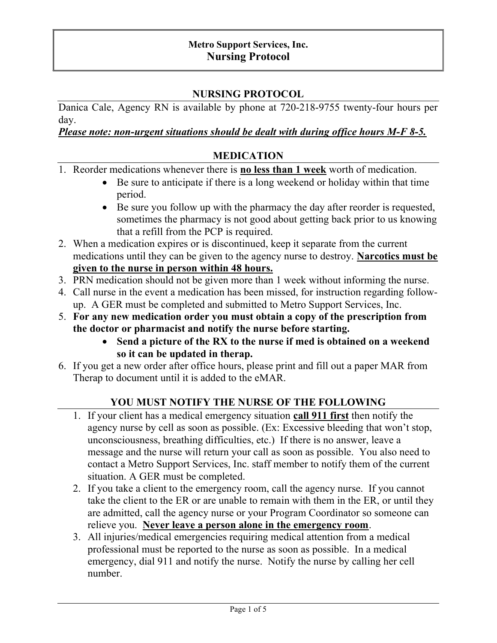#### Metro Support Services, Inc. Nursing Protocol

## NURSING PROTOCOL

Danica Cale, Agency RN is available by phone at 720-218-9755 twenty-four hours per day.

#### Please note: non-urgent situations should be dealt with during office hours M-F 8-5.

#### MEDICATION

- 1. Reorder medications whenever there is **no less than 1 week** worth of medication.
	- $\bullet$  Be sure to anticipate if there is a long weekend or holiday within that time period.
	- Be sure you follow up with the pharmacy the day after reorder is requested, sometimes the pharmacy is not good about getting back prior to us knowing that a refill from the PCP is required.
- 2. When a medication expires or is discontinued, keep it separate from the current medications until they can be given to the agency nurse to destroy. Narcotics must be given to the nurse in person within 48 hours.
- 3. PRN medication should not be given more than 1 week without informing the nurse.
- 4. Call nurse in the event a medication has been missed, for instruction regarding followup. A GER must be completed and submitted to Metro Support Services, Inc.
- 5. For any new medication order you must obtain a copy of the prescription from the doctor or pharmacist and notify the nurse before starting.
	- Send a picture of the RX to the nurse if med is obtained on a weekend so it can be updated in therap.
- 6. If you get a new order after office hours, please print and fill out a paper MAR from Therap to document until it is added to the eMAR.

# YOU MUST NOTIFY THE NURSE OF THE FOLLOWING

- 1. If your client has a medical emergency situation call 911 first then notify the agency nurse by cell as soon as possible. (Ex: Excessive bleeding that won't stop, unconsciousness, breathing difficulties, etc.) If there is no answer, leave a message and the nurse will return your call as soon as possible. You also need to contact a Metro Support Services, Inc. staff member to notify them of the current situation. A GER must be completed.
- 2. If you take a client to the emergency room, call the agency nurse. If you cannot take the client to the ER or are unable to remain with them in the ER, or until they are admitted, call the agency nurse or your Program Coordinator so someone can relieve you. Never leave a person alone in the emergency room.
- 3. All injuries/medical emergencies requiring medical attention from a medical professional must be reported to the nurse as soon as possible. In a medical emergency, dial 911 and notify the nurse. Notify the nurse by calling her cell number.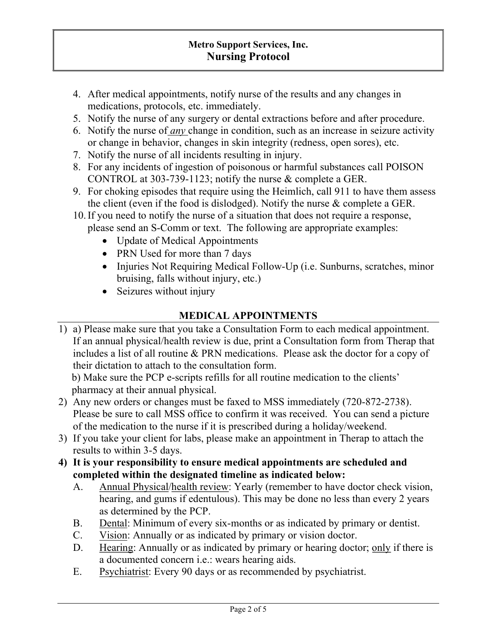## Metro Support Services, Inc. Nursing Protocol

- 4. After medical appointments, notify nurse of the results and any changes in medications, protocols, etc. immediately.
- 5. Notify the nurse of any surgery or dental extractions before and after procedure.
- 6. Notify the nurse of *any* change in condition, such as an increase in seizure activity or change in behavior, changes in skin integrity (redness, open sores), etc.
- 7. Notify the nurse of all incidents resulting in injury.
- 8. For any incidents of ingestion of poisonous or harmful substances call POISON CONTROL at 303-739-1123; notify the nurse & complete a GER.
- 9. For choking episodes that require using the Heimlich, call 911 to have them assess the client (even if the food is dislodged). Notify the nurse & complete a GER.
- 10.If you need to notify the nurse of a situation that does not require a response, please send an S-Comm or text. The following are appropriate examples:
	- Update of Medical Appointments
	- PRN Used for more than 7 days
	- Injuries Not Requiring Medical Follow-Up (i.e. Sunburns, scratches, minor bruising, falls without injury, etc.)
	- Seizures without injury

## MEDICAL APPOINTMENTS

1) a) Please make sure that you take a Consultation Form to each medical appointment. If an annual physical/health review is due, print a Consultation form from Therap that includes a list of all routine & PRN medications. Please ask the doctor for a copy of their dictation to attach to the consultation form.

b) Make sure the PCP e-scripts refills for all routine medication to the clients' pharmacy at their annual physical.

- 2) Any new orders or changes must be faxed to MSS immediately (720-872-2738). Please be sure to call MSS office to confirm it was received. You can send a picture of the medication to the nurse if it is prescribed during a holiday/weekend.
- 3) If you take your client for labs, please make an appointment in Therap to attach the results to within 3-5 days.
- 4) It is your responsibility to ensure medical appointments are scheduled and completed within the designated timeline as indicated below:
	- A. Annual Physical/health review: Yearly (remember to have doctor check vision, hearing, and gums if edentulous). This may be done no less than every 2 years as determined by the PCP.
	- B. Dental: Minimum of every six-months or as indicated by primary or dentist.
	- C. Vision: Annually or as indicated by primary or vision doctor.
	- D. Hearing: Annually or as indicated by primary or hearing doctor; only if there is a documented concern i.e.: wears hearing aids.
	- E. Psychiatrist: Every 90 days or as recommended by psychiatrist.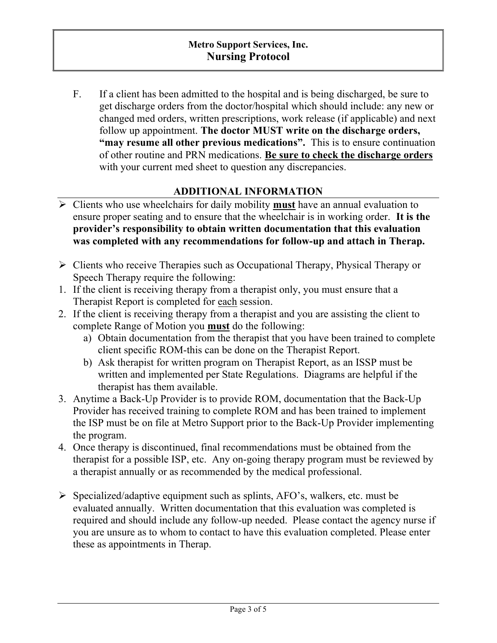F. If a client has been admitted to the hospital and is being discharged, be sure to get discharge orders from the doctor/hospital which should include: any new or changed med orders, written prescriptions, work release (if applicable) and next follow up appointment. The doctor MUST write on the discharge orders, "may resume all other previous medications". This is to ensure continuation of other routine and PRN medications. Be sure to check the discharge orders with your current med sheet to question any discrepancies.

# ADDITIONAL INFORMATION

- $\triangleright$  Clients who use wheelchairs for daily mobility **must** have an annual evaluation to ensure proper seating and to ensure that the wheelchair is in working order. It is the provider's responsibility to obtain written documentation that this evaluation was completed with any recommendations for follow-up and attach in Therap.
- $\triangleright$  Clients who receive Therapies such as Occupational Therapy, Physical Therapy or Speech Therapy require the following:
- 1. If the client is receiving therapy from a therapist only, you must ensure that a Therapist Report is completed for each session.
- 2. If the client is receiving therapy from a therapist and you are assisting the client to complete Range of Motion you must do the following:
	- a) Obtain documentation from the therapist that you have been trained to complete client specific ROM-this can be done on the Therapist Report.
	- b) Ask therapist for written program on Therapist Report, as an ISSP must be written and implemented per State Regulations. Diagrams are helpful if the therapist has them available.
- 3. Anytime a Back-Up Provider is to provide ROM, documentation that the Back-Up Provider has received training to complete ROM and has been trained to implement the ISP must be on file at Metro Support prior to the Back-Up Provider implementing the program.
- 4. Once therapy is discontinued, final recommendations must be obtained from the therapist for a possible ISP, etc. Any on-going therapy program must be reviewed by a therapist annually or as recommended by the medical professional.
- $\triangleright$  Specialized/adaptive equipment such as splints, AFO's, walkers, etc. must be evaluated annually. Written documentation that this evaluation was completed is required and should include any follow-up needed. Please contact the agency nurse if you are unsure as to whom to contact to have this evaluation completed. Please enter these as appointments in Therap.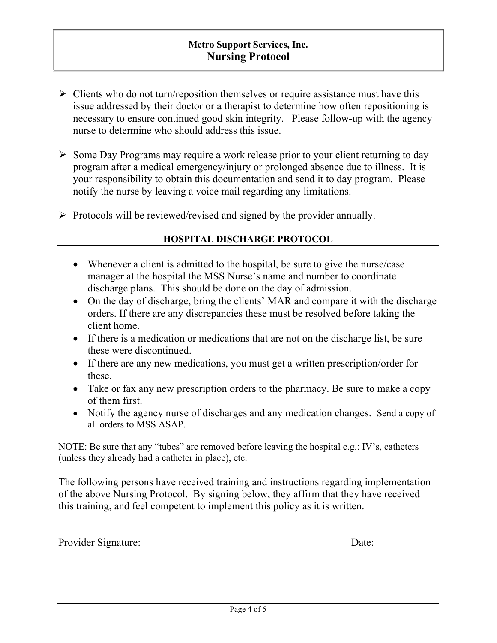- $\triangleright$  Clients who do not turn/reposition themselves or require assistance must have this issue addressed by their doctor or a therapist to determine how often repositioning is necessary to ensure continued good skin integrity. Please follow-up with the agency nurse to determine who should address this issue.
- $\triangleright$  Some Day Programs may require a work release prior to your client returning to day program after a medical emergency/injury or prolonged absence due to illness. It is your responsibility to obtain this documentation and send it to day program. Please notify the nurse by leaving a voice mail regarding any limitations.
- $\triangleright$  Protocols will be reviewed/revised and signed by the provider annually.

#### HOSPITAL DISCHARGE PROTOCOL

- Whenever a client is admitted to the hospital, be sure to give the nurse/case manager at the hospital the MSS Nurse's name and number to coordinate discharge plans. This should be done on the day of admission.
- On the day of discharge, bring the clients' MAR and compare it with the discharge orders. If there are any discrepancies these must be resolved before taking the client home.
- If there is a medication or medications that are not on the discharge list, be sure these were discontinued.
- If there are any new medications, you must get a written prescription/order for these.
- Take or fax any new prescription orders to the pharmacy. Be sure to make a copy of them first.
- Notify the agency nurse of discharges and any medication changes. Send a copy of all orders to MSS ASAP.

NOTE: Be sure that any "tubes" are removed before leaving the hospital e.g.: IV's, catheters (unless they already had a catheter in place), etc.

The following persons have received training and instructions regarding implementation of the above Nursing Protocol. By signing below, they affirm that they have received this training, and feel competent to implement this policy as it is written.

| Provider Signature: | Date: |
|---------------------|-------|
|---------------------|-------|